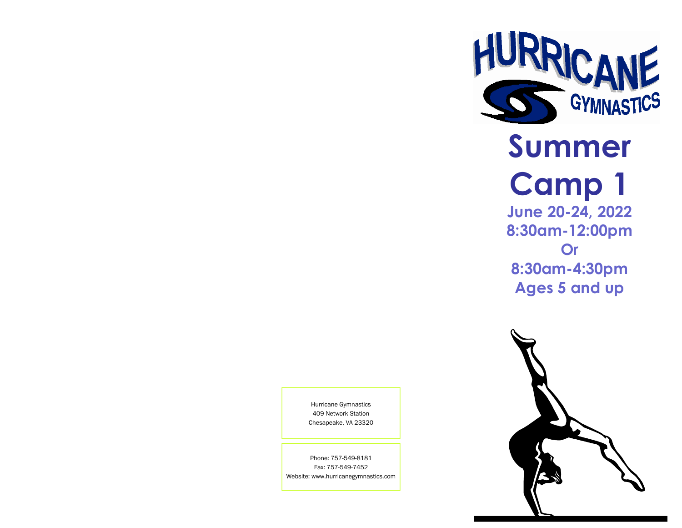

## **Summer Camp 1 June 20-24, 2022 8:30am-12:00pm Or 8:30am-4:30pm**

**Ages 5 and up**



Hurricane Gymnastics 409 Network Station Chesapeake, VA 23320

Phone: 757-549-8181 Fax: 757-549-7452 Website: www.hurricanegymnastics.com